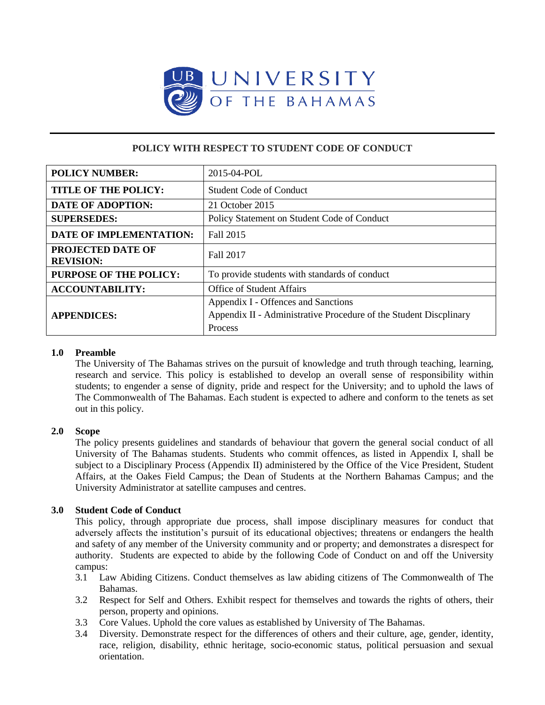

# **POLICY WITH RESPECT TO STUDENT CODE OF CONDUCT**

| <b>POLICY NUMBER:</b>                        | 2015-04-POL                                                                                                         |
|----------------------------------------------|---------------------------------------------------------------------------------------------------------------------|
| <b>TITLE OF THE POLICY:</b>                  | <b>Student Code of Conduct</b>                                                                                      |
| <b>DATE OF ADOPTION:</b>                     | 21 October 2015                                                                                                     |
| <b>SUPERSEDES:</b>                           | Policy Statement on Student Code of Conduct                                                                         |
| <b>DATE OF IMPLEMENTATION:</b>               | Fall 2015                                                                                                           |
| <b>PROJECTED DATE OF</b><br><b>REVISION:</b> | Fall 2017                                                                                                           |
| <b>PURPOSE OF THE POLICY:</b>                | To provide students with standards of conduct                                                                       |
| <b>ACCOUNTABILITY:</b>                       | <b>Office of Student Affairs</b>                                                                                    |
| <b>APPENDICES:</b>                           | Appendix I - Offences and Sanctions<br>Appendix II - Administrative Procedure of the Student Discplinary<br>Process |

# **1.0 Preamble**

The University of The Bahamas strives on the pursuit of knowledge and truth through teaching, learning, research and service. This policy is established to develop an overall sense of responsibility within students; to engender a sense of dignity, pride and respect for the University; and to uphold the laws of The Commonwealth of The Bahamas. Each student is expected to adhere and conform to the tenets as set out in this policy.

# **2.0 Scope**

The policy presents guidelines and standards of behaviour that govern the general social conduct of all University of The Bahamas students. Students who commit offences, as listed in Appendix I, shall be subject to a Disciplinary Process (Appendix II) administered by the Office of the Vice President, Student Affairs, at the Oakes Field Campus; the Dean of Students at the Northern Bahamas Campus; and the University Administrator at satellite campuses and centres.

# **3.0 Student Code of Conduct**

This policy, through appropriate due process, shall impose disciplinary measures for conduct that adversely affects the institution's pursuit of its educational objectives; threatens or endangers the health and safety of any member of the University community and or property; and demonstrates a disrespect for authority. Students are expected to abide by the following Code of Conduct on and off the University campus:

- 3.1 Law Abiding Citizens. Conduct themselves as law abiding citizens of The Commonwealth of The Bahamas.
- 3.2 Respect for Self and Others. Exhibit respect for themselves and towards the rights of others, their person, property and opinions.
- 3.3 Core Values. Uphold the core values as established by University of The Bahamas.
- 3.4 Diversity. Demonstrate respect for the differences of others and their culture, age, gender, identity, race, religion, disability, ethnic heritage, socio-economic status, political persuasion and sexual orientation.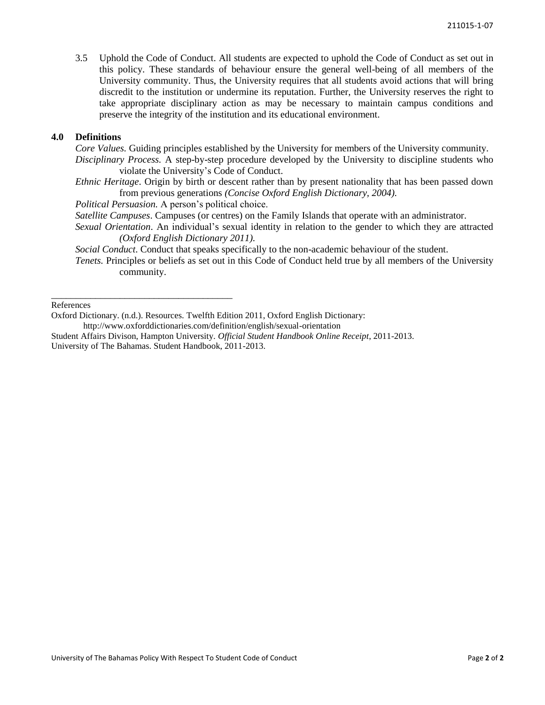3.5 Uphold the Code of Conduct. All students are expected to uphold the Code of Conduct as set out in this policy. These standards of behaviour ensure the general well-being of all members of the University community. Thus, the University requires that all students avoid actions that will bring discredit to the institution or undermine its reputation. Further, the University reserves the right to take appropriate disciplinary action as may be necessary to maintain campus conditions and preserve the integrity of the institution and its educational environment.

## **4.0 Definitions**

*Core Values.* Guiding principles established by the University for members of the University community.

- *Disciplinary Process.* A step-by-step procedure developed by the University to discipline students who violate the University's Code of Conduct.
- *Ethnic Heritage*. Origin by birth or descent rather than by present nationality that has been passed down from previous generations *(Concise Oxford English Dictionary, 2004).*

*Political Persuasion.* A person's political choice.

\_\_\_\_\_\_\_\_\_\_\_\_\_\_\_\_\_\_\_\_\_\_\_\_\_\_\_\_\_\_\_\_\_\_\_\_\_

- *Satellite Campuses*. Campuses (or centres) on the Family Islands that operate with an administrator.
- *Sexual Orientation*. An individual's sexual identity in relation to the gender to which they are attracted *(Oxford English Dictionary 2011).*
- *Social Conduct*. Conduct that speaks specifically to the non-academic behaviour of the student.
- *Tenets.* Principles or beliefs as set out in this Code of Conduct held true by all members of the University community.

References

Oxford Dictionary. (n.d.). Resources. Twelfth Edition 2011, Oxford English Dictionary: http://www.oxforddictionaries.com/definition/english/sexual-orientation

Student Affairs Divison, Hampton University. *Official Student Handbook Online Receipt*, 2011-2013. University of The Bahamas. Student Handbook, 2011-2013.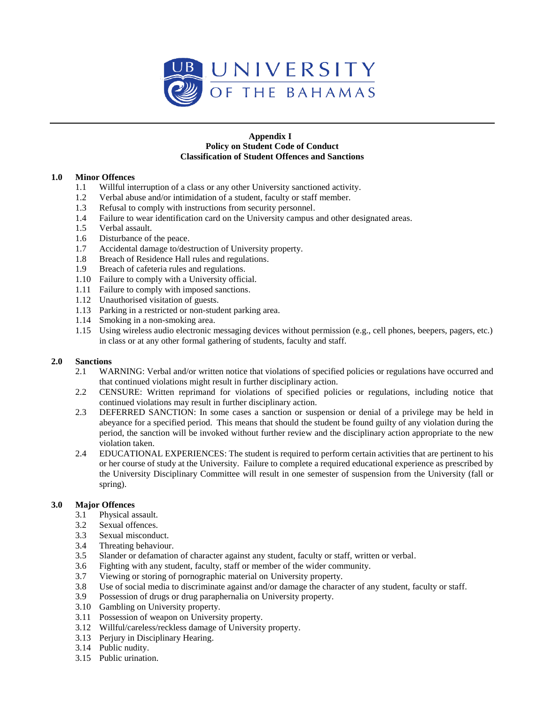

#### **Appendix I Policy on Student Code of Conduct Classification of Student Offences and Sanctions**

## **1.0 Minor Offences**

- 1.1 Willful interruption of a class or any other University sanctioned activity.
- 1.2 Verbal abuse and/or intimidation of a student, faculty or staff member.
- 1.3 Refusal to comply with instructions from security personnel.
- 1.4 Failure to wear identification card on the University campus and other designated areas.
- 1.5 Verbal assault.
- 1.6 Disturbance of the peace.
- 1.7 Accidental damage to/destruction of University property.
- 1.8 Breach of Residence Hall rules and regulations.
- 1.9 Breach of cafeteria rules and regulations.
- 1.10 Failure to comply with a University official.
- 1.11 Failure to comply with imposed sanctions.
- 1.12 Unauthorised visitation of guests.
- 1.13 Parking in a restricted or non-student parking area.
- 1.14 Smoking in a non-smoking area.
- 1.15 Using wireless audio electronic messaging devices without permission (e.g., cell phones, beepers, pagers, etc.) in class or at any other formal gathering of students, faculty and staff.

## **2.0 Sanctions**

- 2.1 WARNING: Verbal and/or written notice that violations of specified policies or regulations have occurred and that continued violations might result in further disciplinary action.
- 2.2 CENSURE: Written reprimand for violations of specified policies or regulations, including notice that continued violations may result in further disciplinary action.
- 2.3 DEFERRED SANCTION: In some cases a sanction or suspension or denial of a privilege may be held in abeyance for a specified period. This means that should the student be found guilty of any violation during the period, the sanction will be invoked without further review and the disciplinary action appropriate to the new violation taken.
- 2.4 EDUCATIONAL EXPERIENCES: The student is required to perform certain activities that are pertinent to his or her course of study at the University. Failure to complete a required educational experience as prescribed by the University Disciplinary Committee will result in one semester of suspension from the University (fall or spring).

## **3.0 Major Offences**

- 3.1 Physical assault.
- 3.2 Sexual offences.
- 3.3 Sexual misconduct.
- 3.4 Threating behaviour.
- 3.5 Slander or defamation of character against any student, faculty or staff, written or verbal.
- 3.6 Fighting with any student, faculty, staff or member of the wider community.
- 3.7 Viewing or storing of pornographic material on University property.
- 3.8 Use of social media to discriminate against and/or damage the character of any student, faculty or staff.
- 3.9 Possession of drugs or drug paraphernalia on University property.
- 3.10 Gambling on University property.
- 3.11 Possession of weapon on University property.
- 3.12 Willful/careless/reckless damage of University property.
- 3.13 Perjury in Disciplinary Hearing.
- 3.14 Public nudity.
- 3.15 Public urination.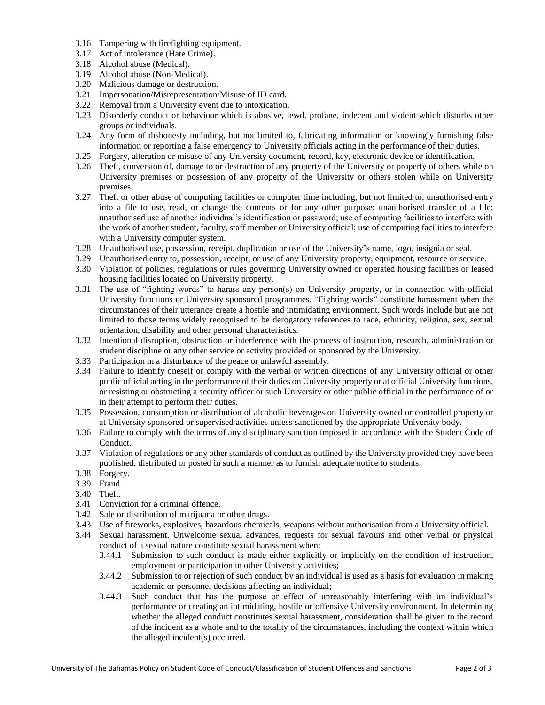- 3.16 Tampering with firefighting equipment.
- 3.17 Act of intolerance (Hate Crime).
- 3.18 Alcohol abuse (Medical).
- 3.19 Alcohol abuse (Non-Medical).
- 3.20 Malicious damage or destruction.
- 3.21 Impersonation/Misrepresentation/Misuse of ID card.
- 3.22 Removal from a University event due to intoxication.
- 3.23 Disorderly conduct or behaviour which is abusive, lewd, profane, indecent and violent which disturbs other groups or individuals.
- 3.24 Any form of dishonesty including, but not limited to, fabricating information or knowingly furnishing false information or reporting a false emergency to University officials acting in the performance of their duties.
- 3.25 Forgery, alteration or misuse of any University document, record, key, electronic device or identification.
- 3.26 Theft, conversion of, damage to or destruction of any property of the University or property of others while on University premises or possession of any property of the University or others stolen while on University premises.
- 3.27 Theft or other abuse of computing facilities or computer time including, but not limited to, unauthorised entry into a file to use, read, or change the contents or for any other purpose; unauthorised transfer of a file; unauthorised use of another individual's identification or password; use of computing facilities to interfere with the work of another student, faculty, staff member or University official; use of computing facilities to interfere with a University computer system.
- 3.28 Unauthorised use, possession, receipt, duplication or use of the University's name, logo, insignia or seal.
- 3.29 Unauthorised entry to, possession, receipt, or use of any University property, equipment, resource or service.
- 3.30 Violation of policies, regulations or rules governing University owned or operated housing facilities or leased housing facilities located on University property.
- 3.31 The use of "fighting words" to harass any person(s) on University property, or in connection with official University functions or University sponsored programmes. "Fighting words" constitute harassment when the circumstances of their utterance create a hostile and intimidating environment. Such words include but are not limited to those terms widely recognised to be derogatory references to race, ethnicity, religion, sex, sexual orientation, disability and other personal characteristics.
- 3.32 Intentional disruption, obstruction or interference with the process of instruction, research, administration or student discipline or any other service or activity provided or sponsored by the University.
- 3.33 Participation in a disturbance of the peace or unlawful assembly.
- 3.34 Failure to identify oneself or comply with the verbal or written directions of any University official or other public official acting in the performance of their duties on University property or at official University functions, or resisting or obstructing a security officer or such University or other public official in the performance of or in their attempt to perform their duties.
- 3.35 Possession, consumption or distribution of alcoholic beverages on University owned or controlled property or at University sponsored or supervised activities unless sanctioned by the appropriate University body.
- 3.36 Failure to comply with the terms of any disciplinary sanction imposed in accordance with the Student Code of Conduct.
- 3.37 Violation of regulations or any other standards of conduct as outlined by the University provided they have been published, distributed or posted in such a manner as to furnish adequate notice to students.
- 3.38 Forgery.
- 3.39 Fraud.
- 3.40 Theft.
- 3.41 Conviction for a criminal offence.
- 3.42 Sale or distribution of marijuana or other drugs.
- 3.43 Use of fireworks, explosives, hazardous chemicals, weapons without authorisation from a University official.
- 3.44 Sexual harassment. Unwelcome sexual advances, requests for sexual favours and other verbal or physical conduct of a sexual nature constitute sexual harassment when:
	- 3.44.1 Submission to such conduct is made either explicitly or implicitly on the condition of instruction, employment or participation in other University activities;
	- 3.44.2 Submission to or rejection of such conduct by an individual is used as a basis for evaluation in making academic or personnel decisions affecting an individual;
	- 3.44.3 Such conduct that has the purpose or effect of unreasonably interfering with an individual's performance or creating an intimidating, hostile or offensive University environment. In determining whether the alleged conduct constitutes sexual harassment, consideration shall be given to the record of the incident as a whole and to the totality of the circumstances, including the context within which the alleged incident(s) occurred.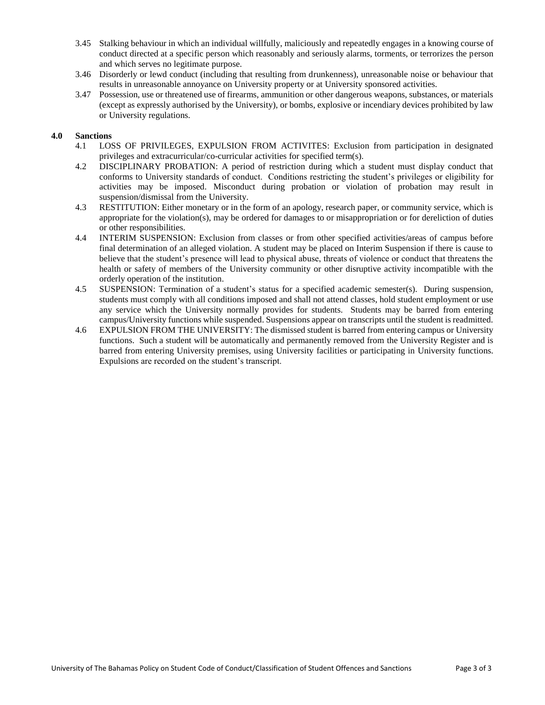- 3.45 Stalking behaviour in which an individual willfully, maliciously and repeatedly engages in a knowing course of conduct directed at a specific person which reasonably and seriously alarms, torments, or terrorizes the person and which serves no legitimate purpose.
- 3.46 Disorderly or lewd conduct (including that resulting from drunkenness), unreasonable noise or behaviour that results in unreasonable annoyance on University property or at University sponsored activities.
- 3.47 Possession, use or threatened use of firearms, ammunition or other dangerous weapons, substances, or materials (except as expressly authorised by the University), or bombs, explosive or incendiary devices prohibited by law or University regulations.

## **4.0 Sanctions**

- 4.1 LOSS OF PRIVILEGES, EXPULSION FROM ACTIVITES: Exclusion from participation in designated privileges and extracurricular/co-curricular activities for specified term(s).
- 4.2 DISCIPLINARY PROBATION: A period of restriction during which a student must display conduct that conforms to University standards of conduct. Conditions restricting the student's privileges or eligibility for activities may be imposed. Misconduct during probation or violation of probation may result in suspension/dismissal from the University.
- 4.3 RESTITUTION: Either monetary or in the form of an apology, research paper, or community service, which is appropriate for the violation(s), may be ordered for damages to or misappropriation or for dereliction of duties or other responsibilities.
- 4.4 INTERIM SUSPENSION: Exclusion from classes or from other specified activities/areas of campus before final determination of an alleged violation. A student may be placed on Interim Suspension if there is cause to believe that the student's presence will lead to physical abuse, threats of violence or conduct that threatens the health or safety of members of the University community or other disruptive activity incompatible with the orderly operation of the institution.
- 4.5 SUSPENSION: Termination of a student's status for a specified academic semester(s). During suspension, students must comply with all conditions imposed and shall not attend classes, hold student employment or use any service which the University normally provides for students. Students may be barred from entering campus/University functions while suspended. Suspensions appear on transcripts until the student is readmitted.
- 4.6 EXPULSION FROM THE UNIVERSITY: The dismissed student is barred from entering campus or University functions. Such a student will be automatically and permanently removed from the University Register and is barred from entering University premises, using University facilities or participating in University functions. Expulsions are recorded on the student's transcript.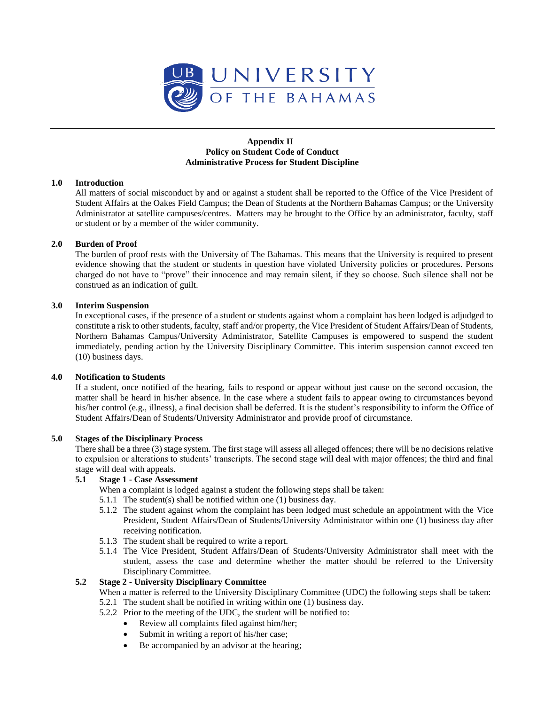

## **Appendix II Policy on Student Code of Conduct Administrative Process for Student Discipline**

## **1.0 Introduction**

All matters of social misconduct by and or against a student shall be reported to the Office of the Vice President of Student Affairs at the Oakes Field Campus; the Dean of Students at the Northern Bahamas Campus; or the University Administrator at satellite campuses/centres. Matters may be brought to the Office by an administrator, faculty, staff or student or by a member of the wider community.

## **2.0 Burden of Proof**

The burden of proof rests with the University of The Bahamas. This means that the University is required to present evidence showing that the student or students in question have violated University policies or procedures. Persons charged do not have to "prove" their innocence and may remain silent, if they so choose. Such silence shall not be construed as an indication of guilt.

## **3.0 Interim Suspension**

In exceptional cases, if the presence of a student or students against whom a complaint has been lodged is adjudged to constitute a risk to other students, faculty, staff and/or property, the Vice President of Student Affairs/Dean of Students, Northern Bahamas Campus/University Administrator, Satellite Campuses is empowered to suspend the student immediately, pending action by the University Disciplinary Committee. This interim suspension cannot exceed ten (10) business days.

#### **4.0 Notification to Students**

If a student, once notified of the hearing, fails to respond or appear without just cause on the second occasion, the matter shall be heard in his/her absence. In the case where a student fails to appear owing to circumstances beyond his/her control (e.g., illness), a final decision shall be deferred. It is the student's responsibility to inform the Office of Student Affairs/Dean of Students/University Administrator and provide proof of circumstance.

#### **5.0 Stages of the Disciplinary Process**

There shall be a three (3) stage system. The first stage will assess all alleged offences; there will be no decisions relative to expulsion or alterations to students' transcripts. The second stage will deal with major offences; the third and final stage will deal with appeals.

## **5.1 Stage 1 - Case Assessment**

When a complaint is lodged against a student the following steps shall be taken:

- 5.1.1 The student(s) shall be notified within one (1) business day.
- 5.1.2 The student against whom the complaint has been lodged must schedule an appointment with the Vice President, Student Affairs/Dean of Students/University Administrator within one (1) business day after receiving notification.
- 5.1.3 The student shall be required to write a report.
- 5.1.4 The Vice President, Student Affairs/Dean of Students/University Administrator shall meet with the student, assess the case and determine whether the matter should be referred to the University Disciplinary Committee.

#### **5.2 Stage 2 - University Disciplinary Committee**

When a matter is referred to the University Disciplinary Committee (UDC) the following steps shall be taken:

- 5.2.1 The student shall be notified in writing within one (1) business day.
- 5.2.2 Prior to the meeting of the UDC, the student will be notified to:
	- Review all complaints filed against him/her;
	- Submit in writing a report of his/her case;
	- Be accompanied by an advisor at the hearing;